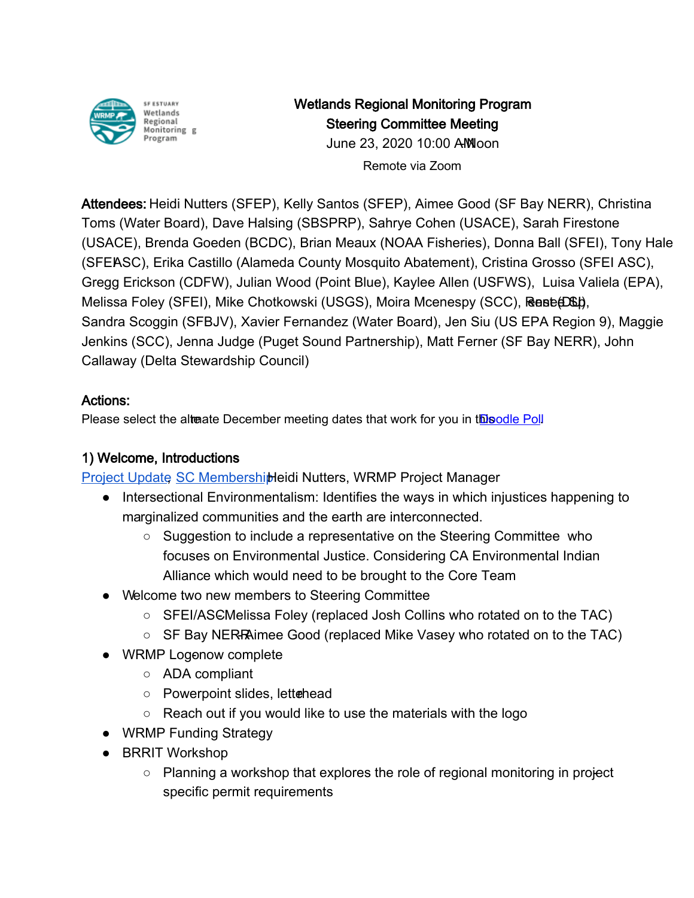

Wetlands Regional Monitoring Program Steering Committee Meeting

> June 23, 2020 10:00 AM oon Remote via Zoom

Attendees: Heidi Nutters (SFEP), Kelly Santos (SFEP), Aimee Good (SF Bay NERR), Christina Toms (Water Board), Dave Halsing (SBSPRP), Sahrye Cohen (USACE), Sarah Firestone (USACE), Brenda Goeden (BCDC), Brian Meaux (NOAA Fisheries), Donna Ball (SFEI), Tony Hale (SFEASC), Erika Castillo (Alameda County Mosquito Abatement), Cristina Grosso (SFEI ASC), Gregg Erickson (CDFW), Julian Wood (Point Blue), Kaylee Allen (USFWS), Luisa Valiela (EPA), Melissa Foley (SFEI), Mike Chotkowski (USGS), Moira Mcenespy (SCC), Renee D&D, Sandra Scoggin (SFBJV), Xavier Fernandez (Water Board), Jen Siu (US EPA Region 9), Maggie Jenkins (SCC), Jenna Judge (Puget Sound Partnership), Matt Ferner (SF Bay NERR), John Callaway (Delta Stewardship Council)

## Actions:

Please select [th](https://gcc01.safelinks.protection.outlook.com/?url=https%3A%2F%2Fdoodle.com%2Fpoll%2F8qy346bkyuy34rnx&data=02%7C01%7Ckelly.santos%40sfestuary.org%7C1de69d8062274f0effd008d817943652%7C0d1e7a5560f044919f2e363ea94f5c87%7C0%7C0%7C637285272635587462&sdata=civC00uYEBuUjLJ5eAjVoZyj6P3fIT9OGdjxWFDq5b8%3D&reserved=0)e alterate December meeting dates that work for you in this odle Poll

# 1) Welcome, Introductions

[Project Update,](https://drive.google.com/file/d/1dPIf_G-rb512SA-2s0eHzzXI30q5Qts0/view?usp=sharing) [SC Membership H](https://docs.google.com/spreadsheets/d/1irwBf2FqK7Nqeww960DWi42-1E-OG4_bv6QH0k0WIGQ/edit?usp=sharing)eidi Nutters, WRMP Project Manager

- Intersectional Environmentalism: Identifies the ways in which injustices happening to marginalized communities and the earth are interconnected.
	- Suggestion to include a representative on the Steering Committee who focuses on Environmental Justice. Considering CA Environmental Indian Alliance which would need to be brought to the Core Team
- Welcome two new members to Steering Committee
	- $\circ$  SFEI/ASCMelissa Foley (replaced Josh Collins who rotated on to the TAC)
	- $\circ$  SF Bay NER-RAimee Good (replaced Mike Vasey who rotated on to the TAC)
- WRMP Logonow complete
	- ADA compliant
	- Powerpoint slides, lettehead
	- Reach out if you would like to use the materials with the logo
- WRMP Funding Strategy
- BRRIT Workshop
	- Planning a workshop that explores the role of regional monitoring in project specific permit requirements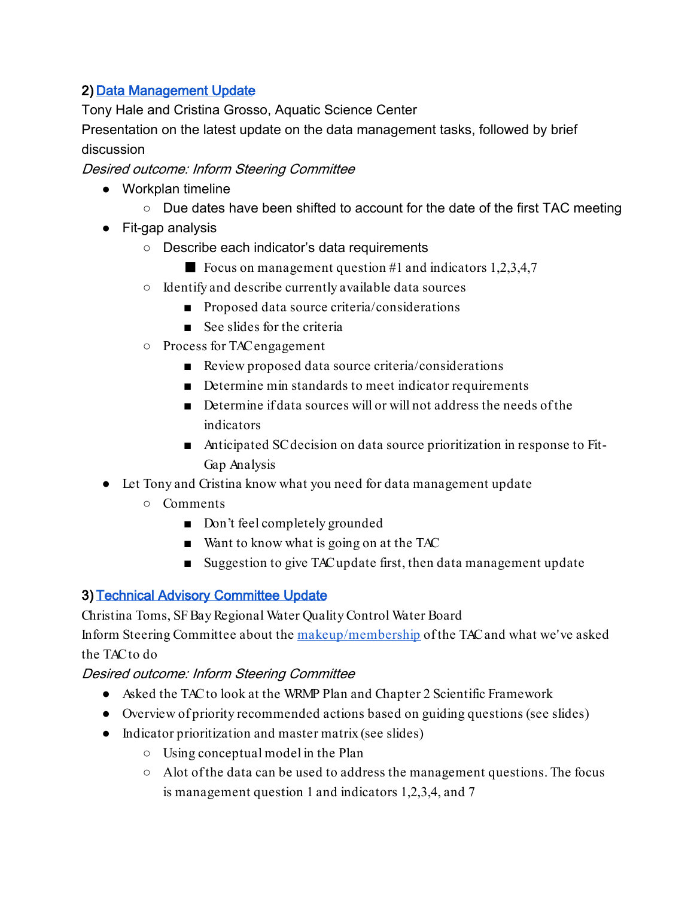## 2) [Data Management Update](https://docs.google.com/presentation/d/1K6fgwMJNSHPnliU5oqKbvBiJ4nIceKukS65Ya8QDo6Y/edit?usp=sharing)

Tony Hale and Cristina Grosso, Aquatic Science Center

Presentation on the latest update on the data management tasks, followed by brief discussion

Desired outcome: Inform Steering Committee

- Workplan timeline
	- Due dates have been shifted to account for the date of the first TAC meeting
- Fit-gap analysis
	- Describe each indicator's data requirements
		- Focus on management question #1 and indicators  $1,2,3,4,7$
	- Identify and describe currently available data sources
		- Proposed data source criteria/considerations
		- See slides for the criteria
	- Process for TAC engagement
		- Review proposed data source criteria/considerations
		- Determine min standards to meet indicator requirements
		- Determine if data sources will or will not address the needs of the indicators
		- Anticipated SC decision on data source prioritization in response to Fit-Gap Analysis
- Let Tony and Cristina know what you need for data management update
	- Comments
		- Don't feel completely grounded
		- Want to know what is going on at the TAC
		- Suggestion to give TAC update first, then data management update

#### 3) [Technical Advisory Committee Update](https://drive.google.com/file/d/1RUVJzjxTylVLUU0MKIZYYfu_ri2qY6jO/view?usp=sharing)

Christina Toms, SF Bay Regional Water Quality Control Water Board

Inform Steering Committee about the [makeup/membership](https://docs.google.com/presentation/d/182LG6VAF2GVorfC1_5urQMJJVY0iqP4KBs-sJvKJcqs/edit?usp=sharing) of the TAC and what we've asked the TAC to do

#### Desired outcome: Inform Steering Committee

- Asked the TAC to look at the WRMP Plan and Chapter 2 Scientific Framework
- Overview of priority recommended actions based on guiding questions (see slides)
- Indicator prioritization and master matrix (see slides)
	- Using conceptual model in the Plan
	- A lot of the data can be used to address the management questions. The focus is management question 1 and indicators 1,2,3,4, and 7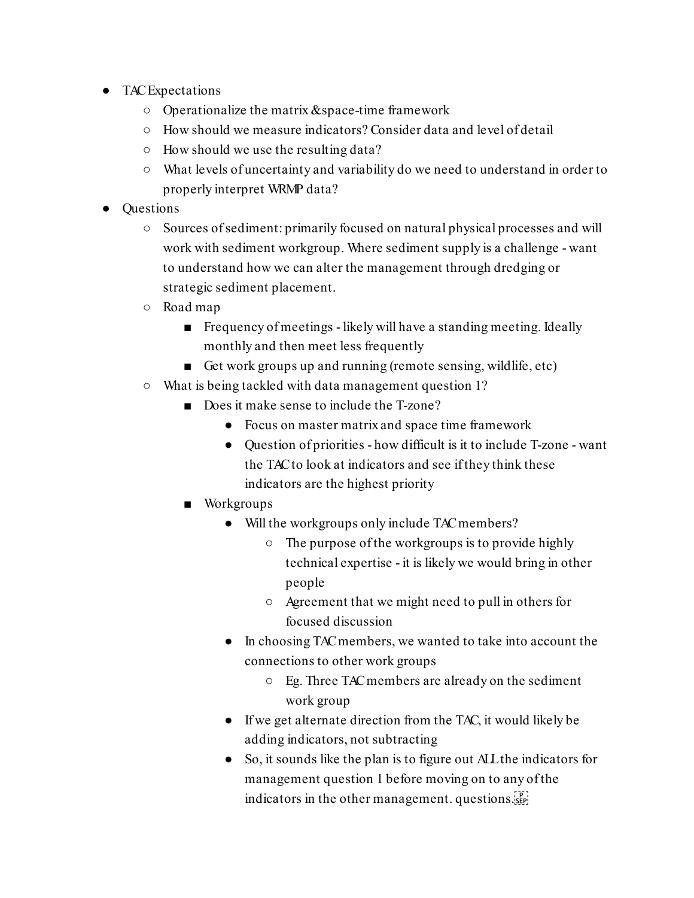- TAC Expectations
	- Operationalize the matrix & space-time framework
	- How should we measure indicators? Consider data and level of detail
	- How should we use the resulting data?
	- What levels of uncertainty and variability do we need to understand in order to properly interpret WRMP data?
- Questions
	- Sources of sediment: primarily focused on natural physical processes and will work with sediment workgroup. Where sediment supply is a challenge - want to understand how we can alter the management through dredging or strategic sediment placement.
	- Road map
		- Frequency of meetings likely will have a standing meeting. Ideally monthly and then meet less frequently
		- Get work groups up and running (remote sensing, wildlife, etc)
	- What is being tackled with data management question 1?
		- Does it make sense to include the T-zone?
			- Focus on master matrix and space time framework
			- Question of priorities how difficult is it to include T-zone want the TAC to look at indicators and see if they think these indicators are the highest priority
		- Workgroups
			- Will the workgroups only include TAC members?
				- The purpose of the workgroups is to provide highly technical expertise - it is likely we would bring in other people
				- Agreement that we might need to pull in others for focused discussion
			- In choosing TAC members, we wanted to take into account the connections to other work groups
				- Eg. Three TAC members are already on the sediment work group
			- If we get alternate direction from the TAC, it would likely be adding indicators, not subtracting
			- So, it sounds like the plan is to figure out ALL the indicators for management question 1 before moving on to any of the indicators in the other management. questions.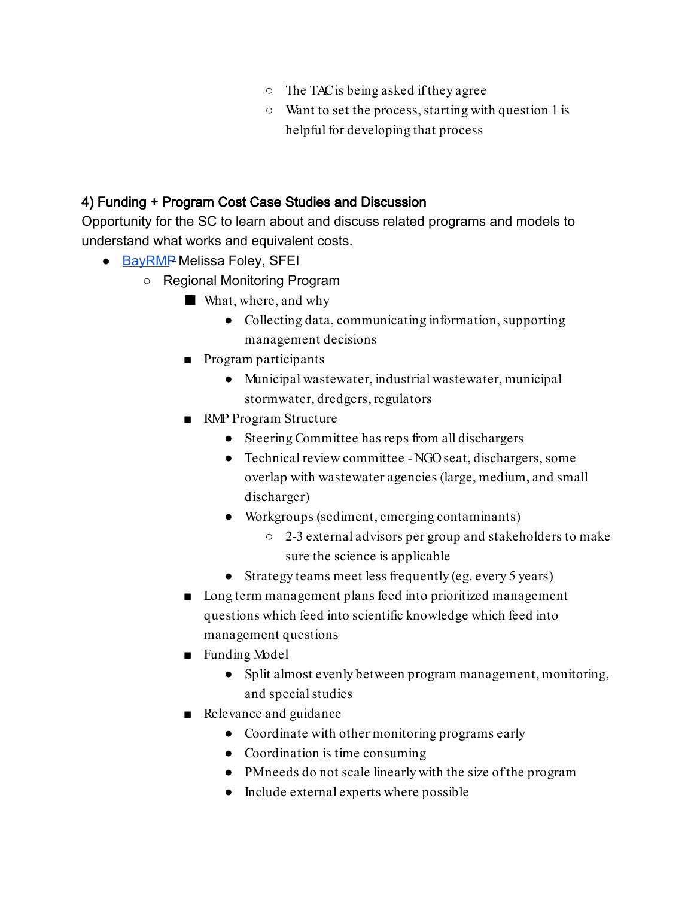- The TAC is being asked if they agree
- Want to set the process, starting with question 1 is helpful for developing that process

### 4) Funding + Program Cost Case Studies and Discussion

Opportunity for the SC to learn about and discuss related programs and models to understand what works and equivalent costs.

- $\bullet$  [BayRMP](https://drive.google.com/file/d/1fPFQgI6R5nX6SdyWqAScBqBIgd1P6k_V/view?usp=sharing) Melissa Foley, SFEI
	- Regional Monitoring Program
		- What, where, and why
			- Collecting data, communicating information, supporting management decisions
		- Program participants
			- Municipal wastewater, industrial wastewater, municipal stormwater, dredgers, regulators
		- RMP Program Structure
			- Steering Committee has reps from all dischargers
			- Technical review committee NGO seat, dischargers, some overlap with wastewater agencies (large, medium, and small discharger)
			- Workgroups (sediment, emerging contaminants)
				- 2-3 external advisors per group and stakeholders to make sure the science is applicable
			- Strategy teams meet less frequently (eg. every 5 years)
		- Long term management plans feed into prioritized management questions which feed into scientific knowledge which feed into management questions
		- Funding Model
			- Split almost evenly between program management, monitoring, and special studies
		- Relevance and guidance
			- Coordinate with other monitoring programs early
			- Coordination is time consuming
			- PM needs do not scale linearly with the size of the program
			- Include external experts where possible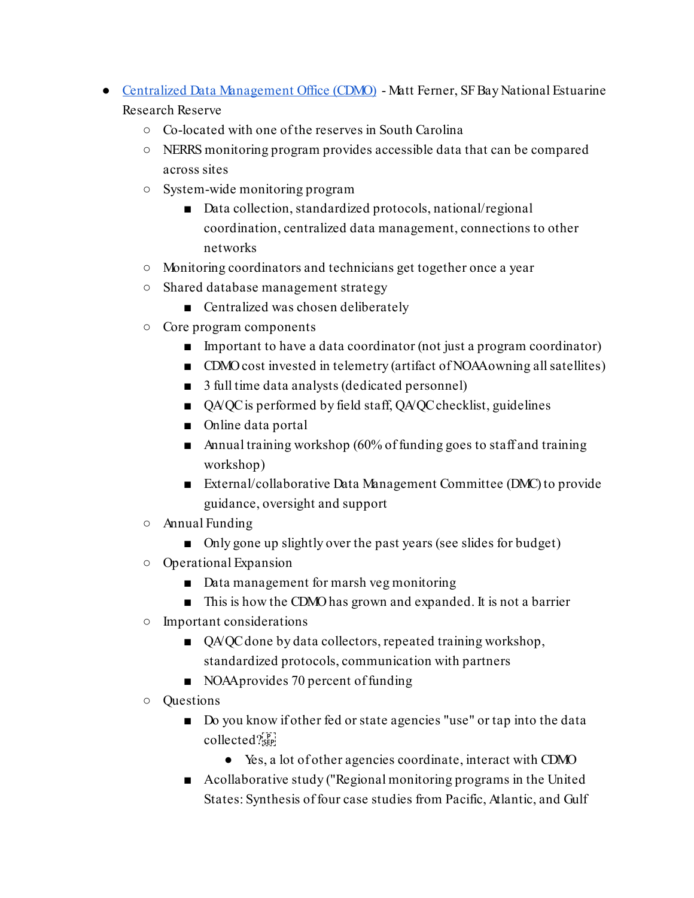- [Centralized Data Management Office \(CDMO\)](https://drive.google.com/file/d/1SfLaHYp7gntxHCHvxHchCFDYjPo58paU/view?usp=sharing)  Matt Ferner, SF Bay National Estuarine Research Reserve
	- Co-located with one of the reserves in South Carolina
	- NERRS monitoring program provides accessible data that can be compared across sites
	- System-wide monitoring program
		- Data collection, standardized protocols, national/regional coordination, centralized data management, connections to other networks
	- Monitoring coordinators and technicians get together once a year
	- Shared database management strategy
		- Centralized was chosen deliberately
	- Core program components
		- Important to have a data coordinator (not just a program coordinator)
		- CDMO cost invested in telemetry (artifact of NOAA owning all satellites)
		- 3 full time data analysts (dedicated personnel)
		- QA/QC is performed by field staff, QA/QC checklist, guidelines
		- Online data portal
		- Annual training workshop (60% of funding goes to staff and training workshop)
		- External/collaborative Data Management Committee (DMC) to provide guidance, oversight and support
	- Annual Funding
		- Only gone up slightly over the past years (see slides for budget)
	- Operational Expansion
		- Data management for marsh veg monitoring
		- This is how the CDMO has grown and expanded. It is not a barrier
	- Important considerations
		- QA/QC done by data collectors, repeated training workshop, standardized protocols, communication with partners
		- NOAA provides 70 percent of funding
	- Questions
		- Do you know if other fed or state agencies "use" or tap into the data collected?
			- Yes, a lot of other agencies coordinate, interact with CDMO
		- Acollaborative study ("Regional monitoring programs in the United States: Synthesis of four case studies from Pacific, Atlantic, and Gulf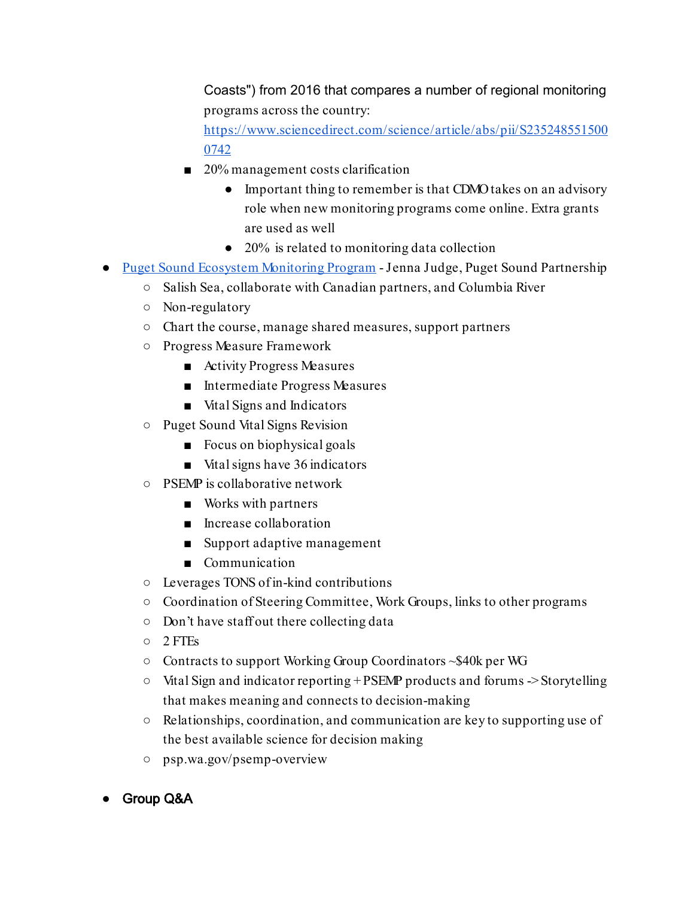Coasts") from 2016 that compares a number of regional monitoring programs across the country:

[https://www.sciencedirect.com/science/article/abs/pii/S235248551500](https://www.sciencedirect.com/science/article/abs/pii/S2352485515000742) [0742](https://www.sciencedirect.com/science/article/abs/pii/S2352485515000742)

- 20% management costs clarification
	- Important thing to remember is that CDMO takes on an advisory role when new monitoring programs come online. Extra grants are used as well
	- 20% is related to monitoring data collection
- [Puget Sound Ecosystem Monitoring Program -](https://drive.google.com/file/d/1pRoiczCvg6eiS7XdgQ1iAICYbee17MYp/view?usp=sharing) Jenna Judge, Puget Sound Partnership
	- Salish Sea, collaborate with Canadian partners, and Columbia River
	- Non-regulatory
	- Chart the course, manage shared measures, support partners
	- Progress Measure Framework
		- Activity Progress Measures
		- Intermediate Progress Measures
		- Vital Signs and Indicators
	- Puget Sound Vital Signs Revision
		- Focus on biophysical goals
		- Vital signs have 36 indicators
	- PSEMP is collaborative network
		- Works with partners
		- Increase collaboration
		- Support adaptive management
		- Communication
	- Leverages TONS of in-kind contributions
	- Coordination of Steering Committee, Work Groups, links to other programs
	- Don't have staff out there collecting data
	- 2 FTEs
	- Contracts to support Working Group Coordinators ~\$40k per WG
	- Vital Sign and indicator reporting + PSEMP products and forums -> Storytelling that makes meaning and connects to decision-making
	- Relationships, coordination, and communication are key to supporting use of the best available science for decision making
	- psp.wa.gov/psemp-overview
- **Group Q&A**